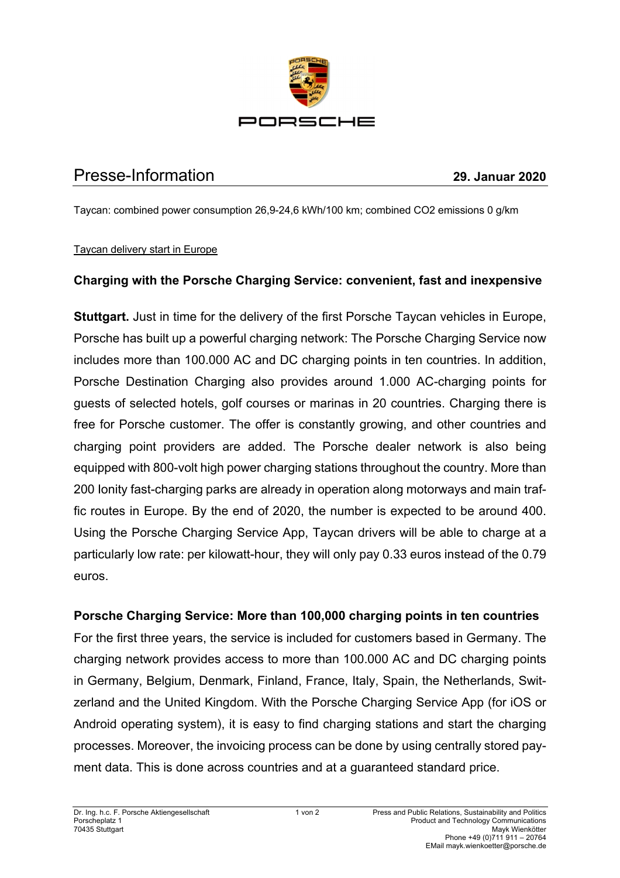

# Presse-Information **29. Januar 2020**

Taycan: combined power consumption 26,9-24,6 kWh/100 km; combined CO2 emissions 0 g/km

#### Taycan delivery start in Europe

## **Charging with the Porsche Charging Service: convenient, fast and inexpensive**

**Stuttgart.** Just in time for the delivery of the first Porsche Taycan vehicles in Europe, Porsche has built up a powerful charging network: The Porsche Charging Service now includes more than 100.000 AC and DC charging points in ten countries. In addition, Porsche Destination Charging also provides around 1.000 AC-charging points for guests of selected hotels, golf courses or marinas in 20 countries. Charging there is free for Porsche customer. The offer is constantly growing, and other countries and charging point providers are added. The Porsche dealer network is also being equipped with 800-volt high power charging stations throughout the country. More than 200 Ionity fast-charging parks are already in operation along motorways and main traffic routes in Europe. By the end of 2020, the number is expected to be around 400. Using the Porsche Charging Service App, Taycan drivers will be able to charge at a particularly low rate: per kilowatt-hour, they will only pay 0.33 euros instead of the 0.79 euros.

## **Porsche Charging Service: More than 100,000 charging points in ten countries**

For the first three years, the service is included for customers based in Germany. The charging network provides access to more than 100.000 AC and DC charging points in Germany, Belgium, Denmark, Finland, France, Italy, Spain, the Netherlands, Switzerland and the United Kingdom. With the Porsche Charging Service App (for iOS or Android operating system), it is easy to find charging stations and start the charging processes. Moreover, the invoicing process can be done by using centrally stored payment data. This is done across countries and at a guaranteed standard price.